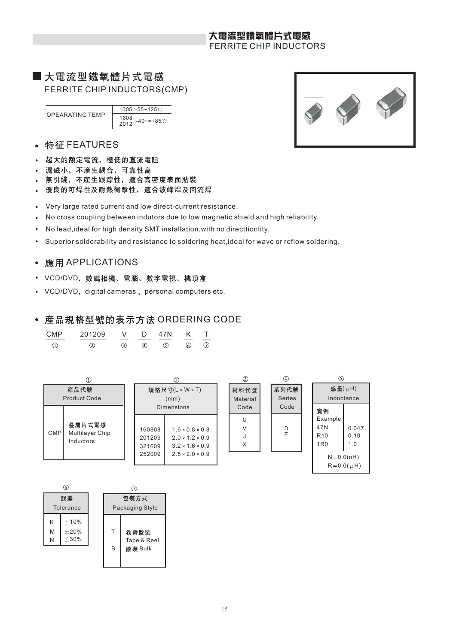# 大電流型鐵氧體片式電感 FERRITE CHIP INDUCTORS

# ■大電流型鐵氧體片式電感 FERRITE CHIP INDUCTORS(CMP)

OPEARATING TEMP 1005 :-55~125 1608 <sup>2012</sup> :-40~=+85

- 特征 FEATURES  $\bullet$
- 超大的額定電流, 極低的直流電阻  $\bullet$
- 漏磁小, 不産生耦合, 可靠性高
- 無引綫, 不産生跟踪性, 適合高密度表面貼裝
- 優良的可焊性及耐熱衝擊性, 適合波峰焊及回流焊
- Very large rated current and low direct-current resistance.  $\bullet$
- No cross coupling between indutors due to low magnetic shield and high reliability.  $\ddot{\phantom{a}}$
- No lead,ideal for high density SMT installation,with no directtionlity.  $\bullet$
- Superior solderability and resistance to soldering heat,ideal for wave or reflow soldering.  $\bullet$

# • 應用 APPLICATIONS

- VCD/DVD、數碼相機、電腦、數字電視、機頂盒
- VCD/DVD, digital cameras, personal computers etc.  $\bullet$

# • 産品規格型號的表示方法 ORDERING CODE

| CMP | 201209 | V   | $\Box$ | 47N | K   |  |
|-----|--------|-----|--------|-----|-----|--|
|     |        | (3) | (4)    | (5) | (6) |  |





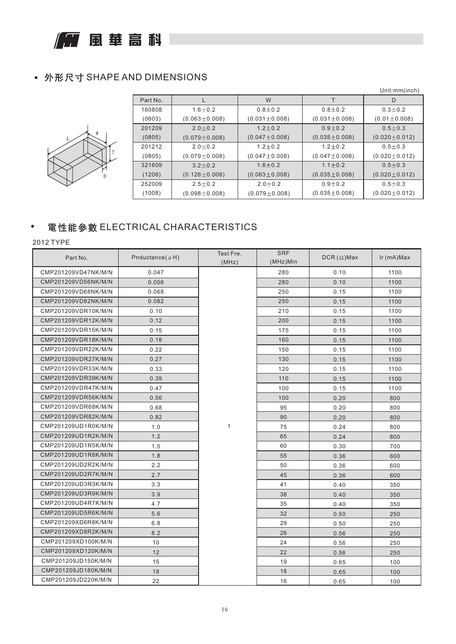**FEE** 風華高科

# • 外形尺寸 SHAPE AND DIMENSIONS



|          |                     |                     |                     | Unit:mm(inch)       |
|----------|---------------------|---------------------|---------------------|---------------------|
| Part No. |                     | W                   |                     | D                   |
| 160808   | $1.6 \pm 0.2$       | $0.8 + 0.2$         | $0.8 + 0.2$         | $0.3 + 0.2$         |
| (0603)   | $(0.063 \pm 0.008)$ | $(0.031 \pm 0.008)$ | $(0.031 \pm 0.008)$ | $(0.01 \pm 0.008)$  |
| 201209   | $2.0 + 0.2$         | $1.2 \pm 0.2$       | $0.9 + 0.2$         | $0.5 + 0.3$         |
| (0805)   | $(0.079 \pm 0.008)$ | $(0.047 \pm 0.008)$ | $(0.035 \pm 0.008)$ | $(0.020 \pm 0.012)$ |
| 201212   | $2.0 + 0.2$         | $1.2 \pm 0.2$       | $1.2 + 0.2$         | $0.5 + 0.3$         |
| (0805)   | $(0.079 \pm 0.008)$ | $(0.047 \pm 0.008)$ | $(0.047 \pm 0.008)$ | $(0.020 \pm 0.012)$ |
| 321609   | $3.2 + 0.2$         | $1.6 + 0.2$         | $1.1 + 0.2$         | $0.5 + 0.3$         |
| (1206)   | $(0.126 \pm 0.008)$ | $(0.063 \pm 0.008)$ | $(0.035 \pm 0.008)$ | $(0.020 \pm 0.012)$ |
| 252009   | $2.5 + 0.2$         | $2.0 + 0.2$         | $0.9 + 0.2$         | $0.5 + 0.3$         |
| (1008)   | $(0.098 \pm 0.008)$ | $(0.079 \pm 0.008)$ | $(0.035 \pm 0.008)$ | $(0.020 \pm 0.012)$ |

# 電性能參數 ELECTRICAL CHARACTERISTICS

| Part No.            | Pnductance( $\mu$ H) | Test Fre.<br>(MHz) | <b>SRF</b><br>(MHz)Min | $DCR(\Omega)$ Max | Ir (mA)Max |
|---------------------|----------------------|--------------------|------------------------|-------------------|------------|
| CMP201209VD47NK/M/N | 0.047                |                    | 280                    | 0.10              | 1100       |
| CMP201209VD56NK/M/N | 0.056                |                    | 280                    | 0.10              | 1100       |
| CMP201209VD68NK/M/N | 0.068                |                    | 250                    | 0.15              | 1100       |
| CMP201209VD82NK/M/N | 0.082                |                    | 250                    | 0.15              | 1100       |
| CMP201209VDR10K/M/N | 0.10                 |                    | 210                    | 0.15              | 1100       |
| CMP201209VDR12K/M/N | 0.12                 |                    | 200                    | 0.15              | 1100       |
| CMP201209VDR15K/M/N | 0.15                 |                    | 175                    | 0.15              | 1100       |
| CMP201209VDR18K/M/N | 0.18                 |                    | 160                    | 0.15              | 1100       |
| CMP201209VDR22K/M/N | 0.22                 |                    | 150                    | 0.15              | 1100       |
| CMP201209VDR27K/M/N | 0.27                 |                    | 130                    | 0.15              | 1100       |
| CMP201209VDR33K/M/N | 0.33                 |                    | 120                    | 0.15              | 1100       |
| CMP201209VDR39K/M/N | 0.39                 |                    | 110                    | 0.15              | 1100       |
| CMP201209VDR47K/M/N | 0.47                 |                    | 100                    | 0.15              | 1100       |
| CMP201209VDR56K/M/N | 0.56                 |                    | 100                    | 0.20              | 800        |
| CMP201209VDR68K/M/N | 0.68                 |                    | 95                     | 0.20              | 800        |
| CMP201209VDR82K/M/N | 0.82                 |                    | 90                     | 0.20              | 800        |
| CMP201209UD1R0K/M/N | 1.0                  | $\mathbf{1}$       | 75                     | 0.24              | 800        |
| CMP201209UD1R2K/M/N | 1.2                  |                    | 65                     | 0.24              | 800        |
| CMP201209UD1R5K/M/N | 1.5                  |                    | 60                     | 0.30              | 700        |
| CMP201209UD1R8K/M/N | 1.8                  |                    | 55                     | 0.36              | 600        |
| CMP201209UD2R2K/M/N | 2.2                  |                    | 50                     | 0.36              | 600        |
| CMP201209UD2R7K/M/N | 2.7                  |                    | 45                     | 0.36              | 600        |
| CMP201209UD3R3K/M/N | 3.3                  |                    | 41                     | 0.40              | 350        |
| CMP201209UD3R9K/M/N | 3.9                  |                    | 38                     | 0.40              | 350        |
| CMP201209UD4R7K/M/N | 4.7                  |                    | 35                     | 0.40              | 350        |
| CMP201209UD5R6K/M/N | 5.6                  |                    | 32                     | 0.50              | 250        |
| CMP201209XD6R8K/M/N | 6.8                  |                    | 29                     | 0.50              | 250        |
| CMP201209XD8R2K/M/N | 8.2                  |                    | 26                     | 0.56              | 250        |
| CMP201209XD100K/M/N | 10                   |                    | 24                     | 0.56              | 250        |
| CMP201209XD120K/M/N | 12                   |                    | 22                     | 0.56              | 250        |
| CMP201209JD150K/M/N | 15                   |                    | 19                     | 0.65              | 100        |
| CMP201209JD180K/M/N | 18                   |                    | 18                     | 0.65              | 100        |
| CMP201209JD220K/M/N | 22                   |                    | 16                     | 0.65              | 100        |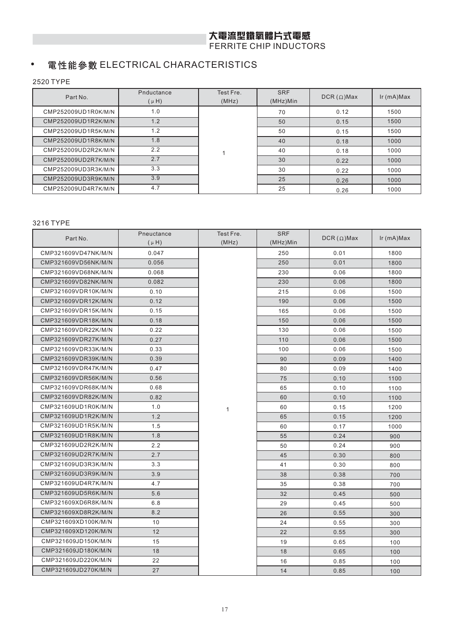# 大電流型鐵氧體片式電感

FERRITE CHIP INDUCTORS

### 電性能參數 ELECTRICAL CHARACTERISTICS  $\bullet$

2520 TYPE

| Part No.            | Pnductance<br>$(\mu H)$ | Test Fre.<br>(MHz) | <b>SRF</b><br>$(MHz)$ Min | $DCR(\Omega)$ Max | $lr$ (mA) $Max$ |
|---------------------|-------------------------|--------------------|---------------------------|-------------------|-----------------|
| CMP252009UD1R0K/M/N | 1.0                     |                    | 70                        | 0.12              | 1500            |
| CMP252009UD1R2K/M/N | 1.2                     |                    | 50                        | 0.15              | 1500            |
| CMP252009UD1R5K/M/N | 1.2                     |                    | 50                        | 0.15              | 1500            |
| CMP252009UD1R8K/M/N | 1.8                     |                    | 40                        | 0.18              | 1000            |
| CMP252009UD2R2K/M/N | 2.2                     |                    | 40                        | 0.18              | 1000            |
| CMP252009UD2R7K/M/N | 2.7                     |                    | 30                        | 0.22              | 1000            |
| CMP252009UD3R3K/M/N | 3.3                     |                    | 30                        | 0.22              | 1000            |
| CMP252009UD3R9K/M/N | 3.9                     |                    | 25                        | 0.26              | 1000            |
| CMP252009UD4R7K/M/N | 4.7                     |                    | 25                        | 0.26              | 1000            |

| Part No.            | Pneuctance | Test Fre.    | <b>SRF</b> | $DCR(\Omega)$ Max | $lr$ (mA) $Max$ |
|---------------------|------------|--------------|------------|-------------------|-----------------|
|                     | $(\mu H)$  | (MHz)        | (MHz)Min   |                   |                 |
| CMP321609VD47NK/M/N | 0.047      |              | 250        | 0.01              | 1800            |
| CMP321609VD56NK/M/N | 0.056      |              | 250        | 0.01              | 1800            |
| CMP321609VD68NK/M/N | 0.068      |              | 230        | 0.06              | 1800            |
| CMP321609VD82NK/M/N | 0.082      |              | 230        | 0.06              | 1800            |
| CMP321609VDR10K/M/N | 0.10       |              | 215        | 0.06              | 1500            |
| CMP321609VDR12K/M/N | 0.12       |              | 190        | 0.06              | 1500            |
| CMP321609VDR15K/M/N | 0.15       |              | 165        | 0.06              | 1500            |
| CMP321609VDR18K/M/N | 0.18       |              | 150        | 0.06              | 1500            |
| CMP321609VDR22K/M/N | 0.22       |              | 130        | 0.06              | 1500            |
| CMP321609VDR27K/M/N | 0.27       |              | 110        | 0.06              | 1500            |
| CMP321609VDR33K/M/N | 0.33       |              | 100        | 0.06              | 1500            |
| CMP321609VDR39K/M/N | 0.39       |              | 90         | 0.09              | 1400            |
| CMP321609VDR47K/M/N | 0.47       |              | 80         | 0.09              | 1400            |
| CMP321609VDR56K/M/N | 0.56       |              | 75         | 0.10              | 1100            |
| CMP321609VDR68K/M/N | 0.68       |              | 65         | 0.10              | 1100            |
| CMP321609VDR82K/M/N | 0.82       |              | 60         | 0.10              | 1100            |
| CMP321609UD1R0K/M/N | 1.0        | $\mathbf{1}$ | 60         | 0.15              | 1200            |
| CMP321609UD1R2K/M/N | 1.2        |              | 65         | 0.15              | 1200            |
| CMP321609UD1R5K/M/N | 1.5        |              | 60         | 0.17              | 1000            |
| CMP321609UD1R8K/M/N | 1.8        |              | 55         | 0.24              | 900             |
| CMP321609UD2R2K/M/N | 2.2        |              | 50         | 0.24              | 900             |
| CMP321609UD2R7K/M/N | 2.7        |              | 45         | 0.30              | 800             |
| CMP321609UD3R3K/M/N | 3.3        |              | 41         | 0.30              | 800             |
| CMP321609UD3R9K/M/N | 3.9        |              | 38         | 0.38              | 700             |
| CMP321609UD4R7K/M/N | 4.7        |              | 35         | 0.38              | 700             |
| CMP321609UD5R6K/M/N | 5.6        |              | 32         | 0.45              | 500             |
| CMP321609XD6R8K/M/N | 6.8        |              | 29         | 0.45              | 500             |
| CMP321609XD8R2K/M/N | 8.2        |              | 26         | 0.55              | 300             |
| CMP321609XD100K/M/N | 10         |              | 24         | 0.55              | 300             |
| CMP321609XD120K/M/N | 12         |              | 22         | 0.55              | 300             |
| CMP321609JD150K/M/N | 15         |              | 19         | 0.65              | 100             |
| CMP321609JD180K/M/N | 18         |              | 18         | 0.65              | 100             |
| CMP321609JD220K/M/N | 22         |              | 16         | 0.85              | 100             |
| CMP321609JD270K/M/N | 27         |              | 14         | 0.85              | 100             |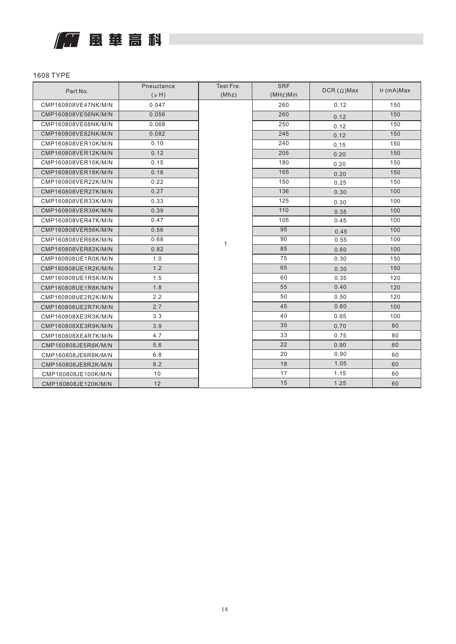

| Part No.            | Pneuctance | Test Fre. | <b>SRF</b> | $DCR(\Omega)$ Max | Ir (mA)Max |
|---------------------|------------|-----------|------------|-------------------|------------|
|                     | $(\mu H)$  | (Mhz)     | (MHz)Min   |                   |            |
| CMP160808VE47NK/M/N | 0.047      |           | 260        | 0.12              | 150        |
| CMP160808VE56NK/M/N | 0.056      |           | 260        | 0.12              | 150        |
| CMP160808VE68NK/M/N | 0.068      |           | 250        | 0.12              | 150        |
| CMP160808VE82NK/M/N | 0.082      |           | 245        | 0.12              | 150        |
| CMP160808VER10K/M/N | 0.10       |           | 240        | 0.15              | 150        |
| CMP160808VER12K/M/N | 0.12       |           | 205        | 0.20              | 150        |
| CMP160808VER15K/M/N | 0.15       |           | 180        | 0.20              | 150        |
| CMP160808VER18K/M/N | 0.18       |           | 165        | 0.20              | 150        |
| CMP160808VER22K/M/N | 0.22       |           | 150        | 0.25              | 150        |
| CMP160808VER27K/M/N | 0.27       |           | 136        | 0.30              | 100        |
| CMP160808VER33K/M/N | 0.33       |           | 125        | 0.30              | 100        |
| CMP160808VER39K/M/N | 0.39       |           | 110        | 0.35              | 100        |
| CMP160808VER47K/M/N | 0.47       |           | 105        | 0.45              | 100        |
| CMP160808VER56K/M/N | 0.56       |           | 95         | 0.45              | 100        |
| CMP160808VER68K/M/N | 0.68       | 1         | 90         | 0.55              | 100        |
| CMP160808VER82K/M/N | 0.82       |           | 85         | 0.60              | 100        |
| CMP160808UE1R0K/M/N | 1.0        |           | 75         | 0.30              | 150        |
| CMP160808UE1R2K/M/N | 1.2        |           | 65         | 0.30              | 150        |
| CMP160808UE1R5K/M/N | 1.5        |           | 60         | 0.35              | 120        |
| CMP160808UE1R8K/M/N | 1.8        |           | 55         | 0.40              | 120        |
| CMP160808UE2R2K/M/N | 2.2        |           | 50         | 0.50              | 120        |
| CMP160808UE2R7K/M/N | 2.7        |           | 45         | 0.60              | 100        |
| CMP160808XE3R3K/M/N | 3.3        |           | 40         | 0.65              | 100        |
| CMP160808XE3R9K/M/N | 3.9        |           | 35         | 0.70              | 80         |
| CMP160808XE4R7K/M/N | 4.7        |           | 33         | 0.75              | 80         |
| CMP160808JE5R6K/M/N | 5.6        |           | 22         | 0.90              | 60         |
| CMP160808JE6R8K/M/N | 6.8        |           | 20         | 0.90              | 60         |
| CMP160808JE8R2K/M/N | 8.2        |           | 18         | 1.05              | 60         |
| CMP160808JE100K/M/N | 10         |           | 17         | 1.15              | 60         |
| CMP160808JE120K/M/N | 12         |           | 15         | 1.25              | 60         |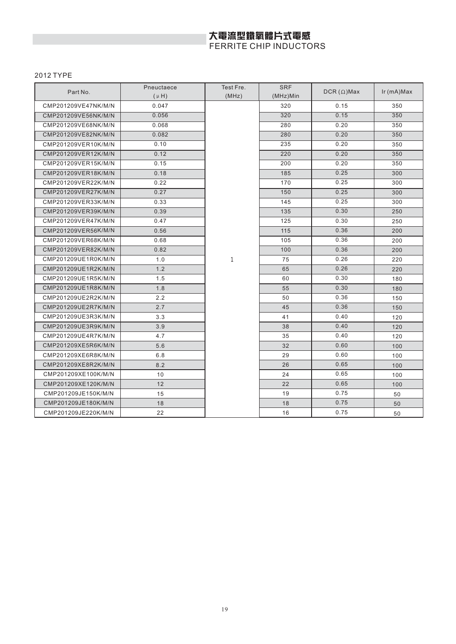# 大電流型鐵氧體片式電感<br>FERRITE CHIP INDUCTORS

| Part No.            | Pneuctaece | Test Fre.    | <b>SRF</b> | $DCR(\Omega)$ Max | $lr(mA)$ Max |
|---------------------|------------|--------------|------------|-------------------|--------------|
|                     | $(\mu H)$  | (MHz)        | (MHz)Min   |                   |              |
| CMP201209VE47NK/M/N | 0.047      |              | 320        | 0.15              | 350          |
| CMP201209VE56NK/M/N | 0.056      |              | 320        | 0.15              | 350          |
| CMP201209VE68NK/M/N | 0.068      |              | 280        | 0.20              | 350          |
| CMP201209VE82NK/M/N | 0.082      |              | 280        | 0.20              | 350          |
| CMP201209VER10K/M/N | 0.10       |              | 235        | 0.20              | 350          |
| CMP201209VER12K/M/N | 0.12       |              | 220        | 0.20              | 350          |
| CMP201209VER15K/M/N | 0.15       |              | 200        | 0.20              | 350          |
| CMP201209VER18K/M/N | 0.18       |              | 185        | 0.25              | 300          |
| CMP201209VER22K/M/N | 0.22       |              | 170        | 0.25              | 300          |
| CMP201209VER27K/M/N | 0.27       |              | 150        | 0.25              | 300          |
| CMP201209VER33K/M/N | 0.33       |              | 145        | 0.25              | 300          |
| CMP201209VER39K/M/N | 0.39       |              | 135        | 0.30              | 250          |
| CMP201209VER47K/M/N | 0.47       |              | 125        | 0.30              | 250          |
| CMP201209VER56K/M/N | 0.56       |              | 115        | 0.36              | 200          |
| CMP201209VER68K/M/N | 0.68       |              | 105        | 0.36              | 200          |
| CMP201209VER82K/M/N | 0.82       |              | 100        | 0.36              | 200          |
| CMP201209UE1R0K/M/N | 1.0        | $\mathbf{1}$ | 75         | 0.26              | 220          |
| CMP201209UE1R2K/M/N | 1.2        |              | 65         | 0.26              | 220          |
| CMP201209UE1R5K/M/N | 1.5        |              | 60         | 0.30              | 180          |
| CMP201209UE1R8K/M/N | 1.8        |              | 55         | 0.30              | 180          |
| CMP201209UE2R2K/M/N | 2.2        |              | 50         | 0.36              | 150          |
| CMP201209UE2R7K/M/N | 2.7        |              | 45         | 0.36              | 150          |
| CMP201209UE3R3K/M/N | 3.3        |              | 41         | 0.40              | 120          |
| CMP201209UE3R9K/M/N | 3.9        |              | 38         | 0.40              | 120          |
| CMP201209UE4R7K/M/N | 4.7        |              | 35         | 0.40              | 120          |
| CMP201209XE5R6K/M/N | 5.6        |              | 32         | 0.60              | 100          |
| CMP201209XE6R8K/M/N | 6.8        |              | 29         | 0.60              | 100          |
| CMP201209XE8R2K/M/N | 8.2        |              | 26         | 0.65              | 100          |
| CMP201209XE100K/M/N | 10         |              | 24         | 0.65              | 100          |
| CMP201209XE120K/M/N | 12         |              | 22         | 0.65              | 100          |
| CMP201209JE150K/M/N | 15         |              | 19         | 0.75              | 50           |
| CMP201209JE180K/M/N | 18         |              | 18         | 0.75              | 50           |
| CMP201209JE220K/M/N | 22         |              | 16         | 0.75              | 50           |